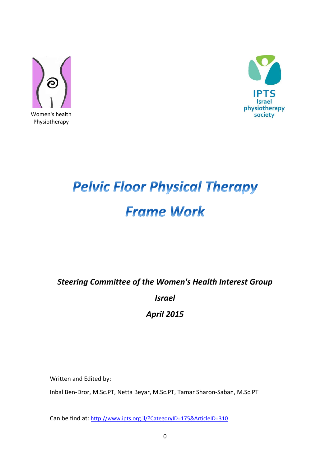



# **Pelvic Floor Physical Therapy Frame Work**

*Steering Committee of the Women's Health Interest Group*

*Israel*

*April 2015*

Written and Edited by:

Inbal Ben-Dror, M.Sc.PT, Netta Beyar, M.Sc.PT, Tamar Sharon-Saban, M.Sc.PT

Can be find at: <http://www.ipts.org.il/?CategoryID=175&ArticleID=310>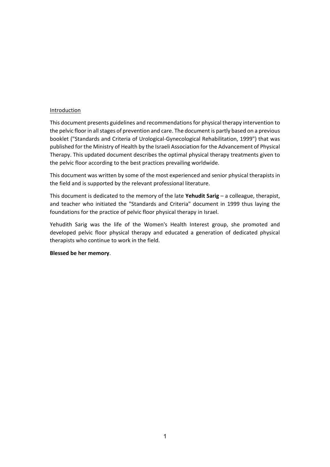#### Introduction

This document presents guidelines and recommendations for physical therapy intervention to the pelvic floor in all stages of prevention and care. The document is partly based on a previous booklet ("Standards and Criteria of Urological-Gynecological Rehabilitation, 1999") that was published for the Ministry of Health by the Israeli Association for the Advancement of Physical Therapy. This updated document describes the optimal physical therapy treatments given to the pelvic floor according to the best practices prevailing worldwide.

This document was written by some of the most experienced and senior physical therapists in the field and is supported by the relevant professional literature.

This document is dedicated to the memory of the late **Yehudit Sarig** – a colleague, therapist, and teacher who initiated the "Standards and Criteria" document in 1999 thus laying the foundations for the practice of pelvic floor physical therapy in Israel.

Yehudith Sarig was the life of the Women's Health Interest group, she promoted and developed pelvic floor physical therapy and educated a generation of dedicated physical therapists who continue to work in the field.

#### **Blessed be her memory**.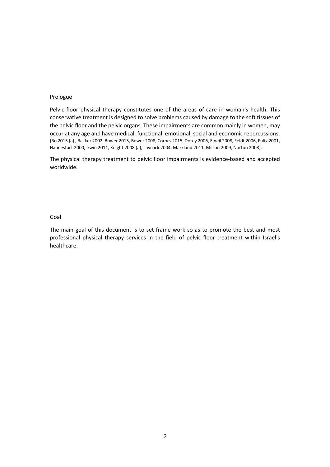#### Prologue

Pelvic floor physical therapy constitutes one of the areas of care in woman's health. This conservative treatment is designed to solve problems caused by damage to the soft tissues of the pelvic floor and the pelvic organs. These impairments are common mainly in women, may occur at any age and have medical, functional, emotional, social and economic repercussions. (Bo 2015 (a) , Bakker 2002, Bower 2015, Bower 2008, Corocs 2015, Dorey 2006, Elneil 2008, Feldt 2006, Fultz 2001, Hannestad 2000, Irwin 2011, Knight 2008 (a), Laycock 2004, Markland 2011, Milson 2009, Norton 2008).

The physical therapy treatment to pelvic floor impairments is evidence-based and accepted worldwide.

#### Goal

The main goal of this document is to set frame work so as to promote the best and most professional physical therapy services in the field of pelvic floor treatment within Israel's healthcare.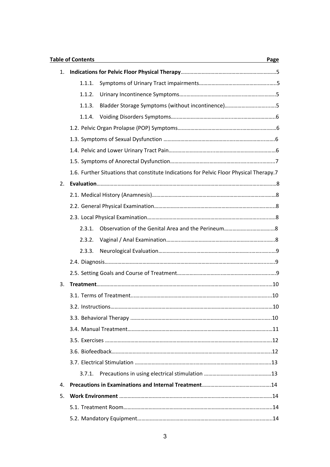|    | <b>Table of Contents</b><br>Page |                                                                                         |  |  |  |
|----|----------------------------------|-----------------------------------------------------------------------------------------|--|--|--|
| 1. |                                  |                                                                                         |  |  |  |
|    | 1.1.1.                           |                                                                                         |  |  |  |
|    | 1.1.2.                           |                                                                                         |  |  |  |
|    | 1.1.3.                           |                                                                                         |  |  |  |
|    | 1.1.4.                           |                                                                                         |  |  |  |
|    |                                  |                                                                                         |  |  |  |
|    |                                  |                                                                                         |  |  |  |
|    |                                  |                                                                                         |  |  |  |
|    |                                  |                                                                                         |  |  |  |
|    |                                  | 1.6. Further Situations that constitute Indications for Pelvic Floor Physical Therapy.7 |  |  |  |
| 2. |                                  |                                                                                         |  |  |  |
|    |                                  |                                                                                         |  |  |  |
|    |                                  |                                                                                         |  |  |  |
|    |                                  |                                                                                         |  |  |  |
|    | 2.3.1.                           |                                                                                         |  |  |  |
|    | 2.3.2.                           |                                                                                         |  |  |  |
|    | 2.3.3.                           |                                                                                         |  |  |  |
|    |                                  |                                                                                         |  |  |  |
|    |                                  |                                                                                         |  |  |  |
| 3. |                                  |                                                                                         |  |  |  |
|    |                                  |                                                                                         |  |  |  |
|    |                                  |                                                                                         |  |  |  |
|    |                                  |                                                                                         |  |  |  |
|    |                                  |                                                                                         |  |  |  |
|    |                                  |                                                                                         |  |  |  |
|    |                                  |                                                                                         |  |  |  |
|    |                                  |                                                                                         |  |  |  |
|    | 3.7.1.                           |                                                                                         |  |  |  |
| 4. |                                  |                                                                                         |  |  |  |
| 5. |                                  |                                                                                         |  |  |  |
|    |                                  |                                                                                         |  |  |  |
|    |                                  |                                                                                         |  |  |  |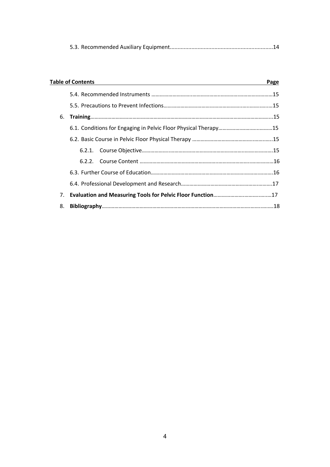|--|

|    | <b>Table of Contents</b> |  |  |
|----|--------------------------|--|--|
|    |                          |  |  |
|    |                          |  |  |
| 6. |                          |  |  |
|    |                          |  |  |
|    |                          |  |  |
|    |                          |  |  |
|    |                          |  |  |
|    |                          |  |  |
|    |                          |  |  |
| 7. |                          |  |  |
| 8. |                          |  |  |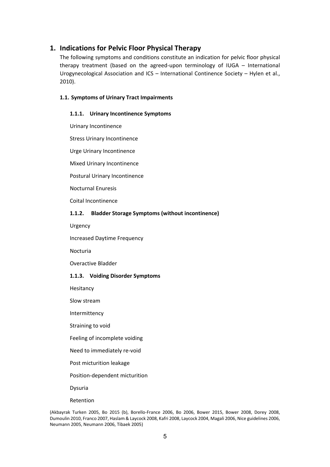# **1. Indications for Pelvic Floor Physical Therapy**

The following symptoms and conditions constitute an indication for pelvic floor physical therapy treatment (based on the agreed-upon terminology of IUGA – International Urogynecological Association and ICS – International Continence Society – Hylen et al., 2010).

#### **1.1. Symptoms of Urinary Tract Impairments**

#### **1.1.1. Urinary Incontinence Symptoms**

Urinary Incontinence

Stress Urinary Incontinence

Urge Urinary Incontinence

Mixed Urinary Incontinence

Postural Urinary Incontinence

Nocturnal Enuresis

Coital Incontinence

#### **1.1.2. Bladder Storage Symptoms (without incontinence)**

Urgency

Increased Daytime Frequency

Nocturia

Overactive Bladder

#### **1.1.3. Voiding Disorder Symptoms**

Hesitancy

Slow stream

Intermittency

Straining to void

Feeling of incomplete voiding

Need to immediately re-void

Post micturition leakage

Position-dependent micturition

Dysuria

Retention

(Akbayrak Turken 2005, Bo 2015 (b), Borello-France 2006, Bo 2006, Bower 2015, Bower 2008, Dorey 2008, Dumoulin 2010, Franco 2007, Haslam & Laycock 2008, Kafri 2008, Laycock 2004, Magali 2006, Nice guidelines 2006, Neumann 2005, Neumann 2006, Tibaek 2005)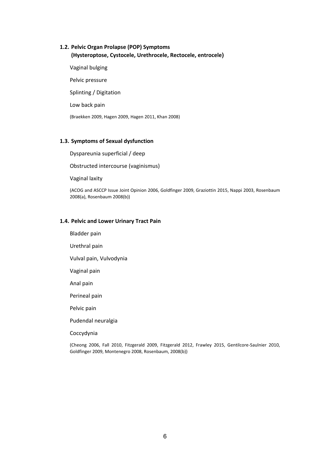#### **1.2. Pelvic Organ Prolapse (POP) Symptoms (Hysteroptose, Cystocele, Urethrocele, Rectocele, entrocele(**

Vaginal bulging Pelvic pressure Splinting / Digitation Low back pain (Braekken 2009, Hagen 2009, Hagen 2011, Khan 2008)

#### **1.3. Symptoms of Sexual dysfunction**

Dyspareunia superficial / deep

Obstructed intercourse (vaginismus)

Vaginal laxity

(ACOG and ASCCP Issue Joint Opinion 2006, Goldfinger 2009, Graziottin 2015, Nappi 2003, Rosenbaum 2008(a), Rosenbaum 2008(b))

#### **1.4. Pelvic and Lower Urinary Tract Pain**

Bladder pain Urethral pain Vulval pain, Vulvodynia Vaginal pain Anal pain Perineal pain Pelvic pain Pudendal neuralgia

Coccydynia

(Cheong 2006, Fall 2010, Fitzgerald 2009, Fitzgerald 2012, Frawley 2015, Gentilcore-Saulnier 2010, Goldfinger 2009, Montenegro 2008, Rosenbaum, 2008(b))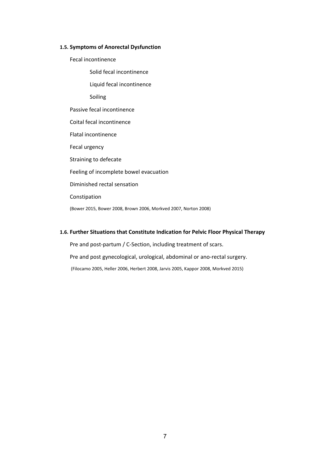#### **1.5. Symptoms of Anorectal Dysfunction**

- Fecal incontinence
	- Solid fecal incontinence
	- Liquid fecal incontinence

Soiling

Passive fecal incontinence

Coital fecal incontinence

Flatal incontinence

Fecal urgency

Straining to defecate

Feeling of incomplete bowel evacuation

Diminished rectal sensation

Constipation

(Bower 2015, Bower 2008, Brown 2006, Morkved 2007, Norton 2008)

#### **1.6. Further Situations that Constitute Indication for Pelvic Floor Physical Therapy**

Pre and post-partum / C-Section, including treatment of scars. Pre and post gynecological, urological, abdominal or ano-rectal surgery. (Filocamo 2005, Heller 2006, Herbert 2008, Jarvis 2005, Kappor 2008, Morkved 2015)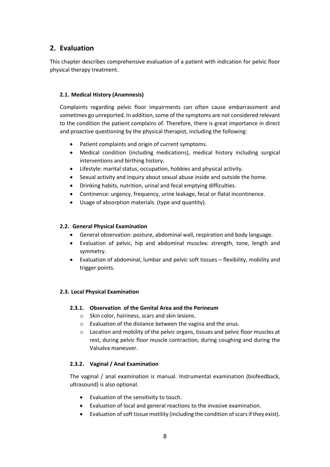# **2. Evaluation**

This chapter describes comprehensive evaluation of a patient with indication for pelvic floor physical therapy treatment.

#### **2.1. Medical History (Anamnesis)**

Complaints regarding pelvic floor impairments can often cause embarrassment and sometimes go unreported. In addition, some of the symptoms are not considered relevant to the condition the patient complains of. Therefore, there is great importance in direct and proactive questioning by the physical therapist, including the following:

- Patient complaints and origin of current symptoms.
- Medical condition (including medications), medical history including surgical interventions and birthing history.
- Lifestyle: marital status, occupation, hobbies and physical activity.
- Sexual activity and inquiry about sexual abuse inside and outside the home.
- Drinking habits, nutrition, urinal and fecal emptying difficulties.
- Continence: urgency, frequency, urine leakage, fecal or flatal incontinence.
- Usage of absorption materials. (type and quantity).

#### **2.2. General Physical Examination**

- General observation: posture, abdominal wall, respiration and body language.
- Evaluation of pelvic, hip and abdominal muscles: strength, tone, length and symmetry.
- Evaluation of abdominal, lumbar and pelvic soft tissues flexibility, mobility and trigger points.

#### **2.3. Local Physical Examination**

#### **2.3.1. Observation of the Genital Area and the Perineum**

- o Skin color, hairiness, scars and skin lesions.
- o Evaluation of the distance between the vagina and the anus.
- o Location and mobility of the pelvic organs, tissues and pelvic floor muscles at rest, during pelvic floor muscle contraction, during coughing and during the Valsalva maneuver.

#### **2.3.2. Vaginal / Anal Examination**

The vaginal / anal examination is manual. Instrumental examination (biofeedback, ultrasound) is also optional.

- Evaluation of the sensitivity to touch.
- Evaluation of local and general reactions to the invasive examination.
- Evaluation of soft tissue motility (including the condition of scars if they exist).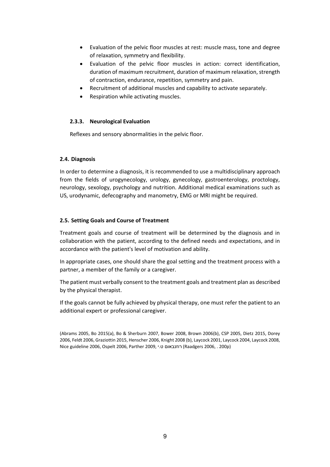- Evaluation of the pelvic floor muscles at rest: muscle mass, tone and degree of relaxation, symmetry and flexibility.
- Evaluation of the pelvic floor muscles in action: correct identification, duration of maximum recruitment, duration of maximum relaxation, strength of contraction, endurance, repetition, symmetry and pain.
- Recruitment of additional muscles and capability to activate separately.
- Respiration while activating muscles.

#### **2.3.3. Neurological Evaluation**

Reflexes and sensory abnormalities in the pelvic floor.

#### **2.4. Diagnosis**

In order to determine a diagnosis, it is recommended to use a multidisciplinary approach from the fields of urogynecology, urology, gynecology, gastroenterology, proctology, neurology, sexology, psychology and nutrition. Additional medical examinations such as US, urodynamic, defecography and manometry, EMG or MRI might be required.

#### **2.5. Setting Goals and Course of Treatment**

Treatment goals and course of treatment will be determined by the diagnosis and in collaboration with the patient, according to the defined needs and expectations, and in accordance with the patient's level of motivation and ability.

In appropriate cases, one should share the goal setting and the treatment process with a partner, a member of the family or a caregiver.

The patient must verbally consent to the treatment goals and treatment plan as described by the physical therapist.

If the goals cannot be fully achieved by physical therapy, one must refer the patient to an additional expert or professional caregiver.

<sup>(</sup>Abrams 2005, Bo 2015(a), Bo & Sherburn 2007, Bower 2008, Brown 2006(b), CSP 2005, Dietz 2015, Dorey 2006, Feldt 2006, Graziottin 2015, Henscher 2006, Knight 2008 (b), Laycock 2001, Laycock 2004, Laycock 2008, Nice guideline 2006, Ospelt 2006, Parther 2009, י.ט רוזנבאום) Raadgers 2006, . 200p)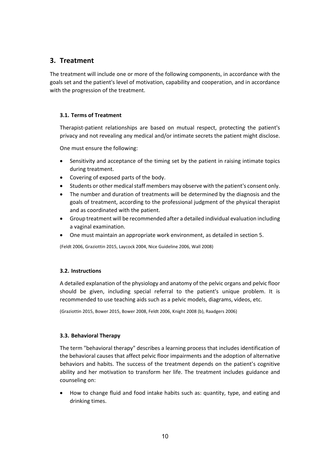# **3. Treatment**

The treatment will include one or more of the following components, in accordance with the goals set and the patient's level of motivation, capability and cooperation, and in accordance with the progression of the treatment.

#### **3.1. Terms of Treatment**

Therapist-patient relationships are based on mutual respect, protecting the patient's privacy and not revealing any medical and/or intimate secrets the patient might disclose.

One must ensure the following:

- Sensitivity and acceptance of the timing set by the patient in raising intimate topics during treatment.
- Covering of exposed parts of the body.
- Students or other medical staff members may observe with the patient's consent only.
- The number and duration of treatments will be determined by the diagnosis and the goals of treatment, according to the professional judgment of the physical therapist and as coordinated with the patient.
- Group treatment will be recommended after a detailed individual evaluation including a vaginal examination.
- One must maintain an appropriate work environment, as detailed in section 5.

(Feldt 2006, Graziottin 2015, Laycock 2004, Nice Guideline 2006, Wall 2008)

#### **3.2. Instructions**

A detailed explanation of the physiology and anatomy of the pelvic organs and pelvic floor should be given, including special referral to the patient's unique problem. It is recommended to use teaching aids such as a pelvic models, diagrams, videos, etc.

(Graziottin 2015, Bower 2015, Bower 2008, Feldt 2006, Knight 2008 (b), Raadgers 2006)

#### **3.3. Behavioral Therapy**

The term "behavioral therapy" describes a learning process that includes identification of the behavioral causes that affect pelvic floor impairments and the adoption of alternative behaviors and habits. The success of the treatment depends on the patient's cognitive ability and her motivation to transform her life. The treatment includes guidance and counseling on:

• How to change fluid and food intake habits such as: quantity, type, and eating and drinking times.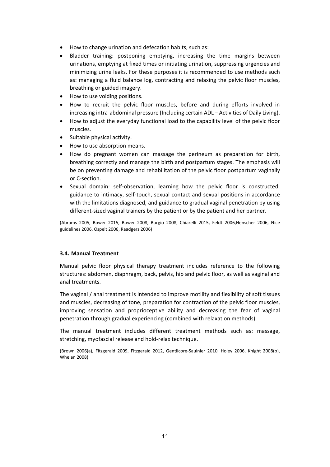- How to change urination and defecation habits, such as:
- Bladder training: postponing emptying, increasing the time margins between urinations, emptying at fixed times or initiating urination, suppressing urgencies and minimizing urine leaks. For these purposes it is recommended to use methods such as: managing a fluid balance log, contracting and relaxing the pelvic floor muscles, breathing or guided imagery.
- How to use voiding positions.
- How to recruit the pelvic floor muscles, before and during efforts involved in increasing intra-abdominal pressure (Including certain ADL – Activities of Daily Living).
- How to adjust the everyday functional load to the capability level of the pelvic floor muscles.
- Suitable physical activity.
- How to use absorption means.
- How do pregnant women can massage the perineum as preparation for birth, breathing correctly and manage the birth and postpartum stages. The emphasis will be on preventing damage and rehabilitation of the pelvic floor postpartum vaginally or C-section.
- Sexual domain: self-observation, learning how the pelvic floor is constructed, guidance to intimacy, self-touch, sexual contact and sexual positions in accordance with the limitations diagnosed, and guidance to gradual vaginal penetration by using different-sized vaginal trainers by the patient or by the patient and her partner.

(Abrams 2005, Bower 2015, Bower 2008, Burgio 2008, Chiarelli 2015, Feldt 2006,Henscher 2006, Nice guidelines 2006, Ospelt 2006, Raadgers 2006)

#### **3.4. Manual Treatment**

Manual pelvic floor physical therapy treatment includes reference to the following structures: abdomen, diaphragm, back, pelvis, hip and pelvic floor, as well as vaginal and anal treatments.

The vaginal / anal treatment is intended to improve motility and flexibility of soft tissues and muscles, decreasing of tone, preparation for contraction of the pelvic floor muscles, improving sensation and proprioceptive ability and decreasing the fear of vaginal penetration through gradual experiencing (combined with relaxation methods).

The manual treatment includes different treatment methods such as: massage, stretching, myofascial release and hold-relax technique.

(Brown 2006(a), Fitzgerald 2009, Fitzgerald 2012, Gentilcore-Saulnier 2010, Holey 2006, Knight 2008(b), Whelan 2008)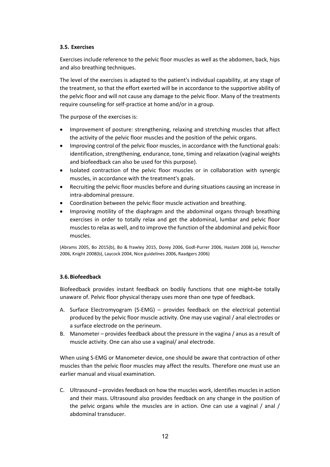#### **3.5. Exercises**

Exercises include reference to the pelvic floor muscles as well as the abdomen, back, hips and also breathing techniques.

The level of the exercises is adapted to the patient's individual capability, at any stage of the treatment, so that the effort exerted will be in accordance to the supportive ability of the pelvic floor and will not cause any damage to the pelvic floor. Many of the treatments require counseling for self-practice at home and/or in a group.

The purpose of the exercises is:

- Improvement of posture: strengthening, relaxing and stretching muscles that affect the activity of the pelvic floor muscles and the position of the pelvic organs.
- Improving control of the pelvic floor muscles, in accordance with the functional goals: identification, strengthening, endurance, tone, timing and relaxation (vaginal weights and biofeedback can also be used for this purpose).
- Isolated contraction of the pelvic floor muscles or in collaboration with synergic muscles, in accordance with the treatment's goals.
- Recruiting the pelvic floor muscles before and during situations causing an increase in intra-abdominal pressure.
- Coordination between the pelvic floor muscle activation and breathing.
- Improving motility of the diaphragm and the abdominal organs through breathing exercises in order to totally relax and get the abdominal, lumbar and pelvic floor muscles to relax as well, and to improve the function of the abdominal and pelvic floor muscles.

(Abrams 2005, Bo 2015(b), Bo & frawley 2015, Dorey 2006, Godl-Purrer 2006, Haslam 2008 (a), Henscher 2006, Knight 2008(b), Laycock 2004, Nice guidelines 2006, Raadgers 2006)

#### **3.6.Biofeedback**

Biofeedback provides instant feedback on bodily functions that one might-be totally unaware of. Pelvic floor physical therapy uses more than one type of feedback.

- A. Surface Electromyogram (S-EMG) provides feedback on the electrical potential produced by the pelvic floor muscle activity. One may use vaginal / anal electrodes or a surface electrode on the perineum.
- B. Manometer provides feedback about the pressure in the vagina / anus as a result of muscle activity. One can also use a vaginal/ anal electrode.

When using S-EMG or Manometer device, one should be aware that contraction of other muscles than the pelvic floor muscles may affect the results. Therefore one must use an earlier manual and visual examination.

C. Ultrasound – provides feedback on how the muscles work, identifies muscles in action and their mass. Ultrasound also provides feedback on any change in the position of the pelvic organs while the muscles are in action. One can use a vaginal / anal / abdominal transducer.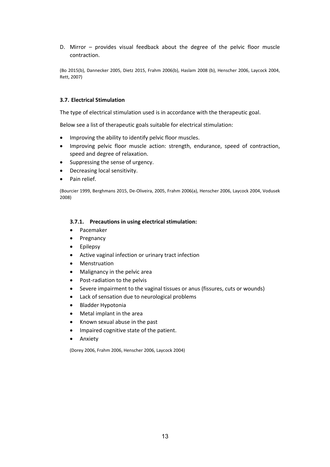D. Mirror – provides visual feedback about the degree of the pelvic floor muscle contraction.

(Bo 2015(b), Dannecker 2005, Dietz 2015, Frahm 2006(b), Haslam 2008 (b), Henscher 2006, Laycock 2004, Rett, 2007)

#### **3.7. Electrical Stimulation**

The type of electrical stimulation used is in accordance with the therapeutic goal.

Below see a list of therapeutic goals suitable for electrical stimulation:

- Improving the ability to identify pelvic floor muscles.
- Improving pelvic floor muscle action: strength, endurance, speed of contraction, speed and degree of relaxation.
- Suppressing the sense of urgency.
- Decreasing local sensitivity.
- Pain relief.

(Bourcier 1999, Berghmans 2015, De-Oliveira, 2005, Frahm 2006(a), Henscher 2006, Laycock 2004, Vodusek 2008)

#### **3.7.1. Precautions in using electrical stimulation:**

- Pacemaker
- Pregnancy
- Epilepsy
- Active vaginal infection or urinary tract infection
- Menstruation
- Malignancy in the pelvic area
- Post-radiation to the pelvis
- Severe impairment to the vaginal tissues or anus (fissures, cuts or wounds)
- Lack of sensation due to neurological problems
- Bladder Hypotonia
- Metal implant in the area
- Known sexual abuse in the past
- Impaired cognitive state of the patient.
- Anxiety

(Dorey 2006, Frahm 2006, Henscher 2006, Laycock 2004)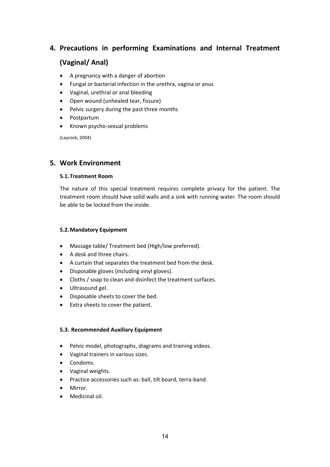# **4. Precautions in performing Examinations and Internal Treatment**

# **(Vaginal/ Anal)**

- A pregnancy with a danger of abortion
- Fungal or bacterial infection in the urethra, vagina or anus
- Vaginal, urethral or anal bleeding
- Open wound (unhealed tear, fissure)
- Pelvic surgery during the past three months
- Postpartum
- Known psycho-sexual problems

(Laycock, 2004)

## **5. Work Environment**

#### **5.1.Treatment Room**

The nature of this special treatment requires complete privacy for the patient. The treatment room should have solid walls and a sink with running water. The room should be able to be locked from the inside.

#### **5.2.Mandatory Equipment**

- Massage table/ Treatment bed (High/low preferred).
- A desk and three chairs.
- A curtain that separates the treatment bed from the desk.
- Disposable gloves (including vinyl gloves).
- Cloths / soap to clean and disinfect the treatment surfaces.
- Ultrasound gel.
- Disposable sheets to cover the bed.
- Extra sheets to cover the patient.

#### **5.3. Recommended Auxiliary Equipment**

- Pelvic model, photographs, diagrams and training videos.
- Vaginal trainers in various sizes.
- Condoms.
- Vaginal weights.
- Practice accessories such as: ball, tilt board, terra-band.
- Mirror.
- Medicinal oil.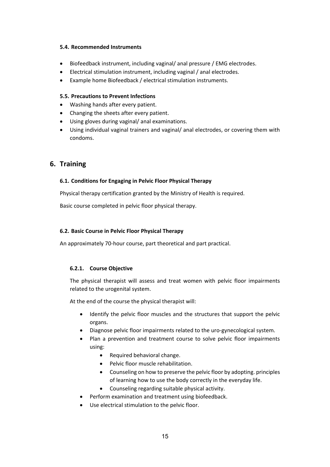#### **5.4. Recommended Instruments**

- Biofeedback instrument, including vaginal/ anal pressure / EMG electrodes.
- Electrical stimulation instrument, including vaginal / anal electrodes.
- Example home Biofeedback / electrical stimulation instruments.

#### **5.5. Precautions to Prevent Infections**

- Washing hands after every patient.
- Changing the sheets after every patient.
- Using gloves during vaginal/ anal examinations.
- Using individual vaginal trainers and vaginal/ anal electrodes, or covering them with condoms.

## **6. Training**

#### **6.1. Conditions for Engaging in Pelvic Floor Physical Therapy**

Physical therapy certification granted by the Ministry of Health is required.

Basic course completed in pelvic floor physical therapy.

#### **6.2. Basic Course in Pelvic Floor Physical Therapy**

An approximately 70-hour course, part theoretical and part practical.

#### **6.2.1. Course Objective**

The physical therapist will assess and treat women with pelvic floor impairments related to the urogenital system.

At the end of the course the physical therapist will:

- Identify the pelvic floor muscles and the structures that support the pelvic organs.
- Diagnose pelvic floor impairments related to the uro-gynecological system.
- Plan a prevention and treatment course to solve pelvic floor impairments using:
	- Required behavioral change.
	- Pelvic floor muscle rehabilitation.
	- Counseling on how to preserve the pelvic floor by adopting. principles of learning how to use the body correctly in the everyday life.
	- Counseling regarding suitable physical activity.
- Perform examination and treatment using biofeedback.
- Use electrical stimulation to the pelvic floor.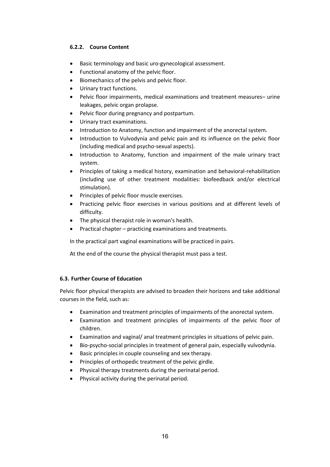#### **6.2.2. Course Content**

- Basic terminology and basic uro-gynecological assessment.
- Functional anatomy of the pelvic floor.
- Biomechanics of the pelvis and pelvic floor.
- Urinary tract functions.
- Pelvic floor impairments, medical examinations and treatment measures– urine leakages, pelvic organ prolapse.
- Pelvic floor during pregnancy and postpartum.
- Urinary tract examinations.
- Introduction to Anatomy, function and impairment of the anorectal system.
- Introduction to Vulvodynia and pelvic pain and its influence on the pelvic floor (including medical and psycho-sexual aspects).
- Introduction to Anatomy, function and impairment of the male urinary tract system.
- Principles of taking a medical history, examination and behavioral-rehabilitation (including use of other treatment modalities: biofeedback and/or electrical stimulation).
- Principles of pelvic floor muscle exercises.
- Practicing pelvic floor exercises in various positions and at different levels of difficulty.
- The physical therapist role in woman's health.
- Practical chapter practicing examinations and treatments.

In the practical part vaginal examinations will be practiced in pairs.

At the end of the course the physical therapist must pass a test.

#### **6.3. Further Course of Education**

Pelvic floor physical therapists are advised to broaden their horizons and take additional courses in the field, such as:

- Examination and treatment principles of impairments of the anorectal system.
- Examination and treatment principles of impairments of the pelvic floor of children.
- Examination and vaginal/ anal treatment principles in situations of pelvic pain.
- Bio-psycho-social principles in treatment of general pain, especially vulvodynia.
- Basic principles in couple counseling and sex therapy.
- Principles of orthopedic treatment of the pelvic girdle.
- Physical therapy treatments during the perinatal period.
- Physical activity during the perinatal period.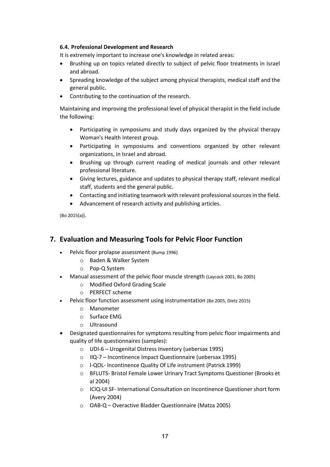#### **6.4. Professional Development and Research**

It is extremely important to increase one's knowledge in related areas:

- Brushing up on topics related directly to subject of pelvic floor treatments in Israel and abroad.
- Spreading knowledge of the subject among physical therapists, medical staff and the general public.
- Contributing to the continuation of the research.

Maintaining and improving the professional level of physical therapist in the field include the following:

- Participating in symposiums and study days organized by the physical therapy Woman's Health Interest group.
- Participating in symposiums and conventions organized by other relevant organizations, in Israel and abroad.
- Brushing up through current reading of medical journals and other relevant professional literature.
- Giving lectures, guidance and updates to physical therapy staff, relevant medical staff, students and the general public.
- Contacting and initiating teamwork with relevant professional sources in the field.
- Advancement of research activity and publishing articles.

(Bo 2015(a)).

# **7. Evaluation and Measuring Tools for Pelvic Floor Function**

- Pelvic floor prolapse assessment (Bump 1996)
	- o Baden & Walker System
	- o Pop-Q System
- Manual assessment of the pelvic floor muscle strength (Laycock 2001, Bo 2005)
	- o Modified Oxford Grading Scale
	- o PERFECT scheme
- Pelvic floor function assessment using instrumentation (Bo 2005, Dietz 2015)
	- o Manometer
	- o Surface EMG
	- o Ultrasound
- Designated questionnaires for symptoms resulting from pelvic floor impairments and quality of life questionnaires (samples):
	- o UDI-6 Urogenital Distress Inventory (uebersax 1995)
	- o IIQ-7 Incontinence Impact Questionnaire (uebersax 1995)
	- o I-QOL- Incontinence Quality Of Life instrument (Patrick 1999)
	- o BFLUTS- Bristol Female Lower Urinary Tract Symptoms Questioner (Brooks et al 2004)
	- o ICIQ-UI SF- International Consultation on Incontinence Questioner short form (Avery 2004)
	- o OAB-Q Overactive Bladder Questionnaire (Matza 2005)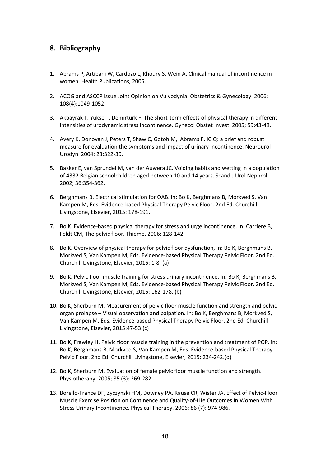# **8. Bibliography**

- 1. Abrams P, Artibani W, Cardozo L, Khoury S, Wein A. Clinical manual of incontinence in women. Health Publications, 2005.
- 2. ACOG and ASCCP Issue Joint Opinion on Vulvodynia. Obstetrics & Gynecology. 2006; 108(4):1049-1052.
- 3. Akbayrak T, Yuksel I, Demirturk F. The short-term effects of physical therapy in different intensities of urodynamic stress incontinence. Gynecol Obstet Invest. 2005; 59:43-48.
- 4. Avery K, Donovan J, Peters T, Shaw C, Gotoh M, Abrams P. ICIQ: a brief and robust measure for evaluation the symptoms and impact of urinary incontinence. Neurourol Urodyn 2004; 23:322-30.
- 5. Bakker E, van Sprundel M, van der Auwera JC. Voiding habits and wetting in a population of 4332 Belgian schoolchildren aged between 10 and 14 years. Scand J Urol Nephrol. 2002; 36:354-362.
- 6. Berghmans B. Electrical stimulation for OAB. in: Bo K, Berghmans B, Morkved S, Van Kampen M, Eds. Evidence-based Physical Therapy Pelvic Floor. 2nd Ed. Churchill Livingstone, Elsevier, 2015: 178-191.
- 7. Bo K. Evidence-based physical therapy for stress and urge incontinence. in: Carriere B, Feldt CM, The pelvic floor. Thieme, 2006: 128-142.
- 8. Bo K. Overview of physical therapy for pelvic floor dysfunction, in: Bo K, Berghmans B, Morkved S, Van Kampen M, Eds. Evidence-based Physical Therapy Pelvic Floor. 2nd Ed. Churchill Livingstone, Elsevier, 2015: 1-8. (a)
- 9. Bo K. Pelvic floor muscle training for stress urinary incontinence. In: Bo K, Berghmans B, Morkved S, Van Kampen M, Eds. Evidence-based Physical Therapy Pelvic Floor. 2nd Ed. Churchill Livingstone, Elsevier, 2015: 162-178. (b)
- 10. Bo K, Sherburn M. Measurement of pelvic floor muscle function and strength and pelvic organ prolapse – Visual observation and palpation. In: Bo K, Berghmans B, Morkved S, Van Kampen M, Eds. Evidence-based Physical Therapy Pelvic Floor. 2nd Ed. Churchill Livingstone, Elsevier, 2015:47-53.(c)
- 11. Bo K, Frawley H. Pelvic floor muscle training in the prevention and treatment of POP. in: Bo K, Berghmans B, Morkved S, Van Kampen M, Eds. Evidence-based Physical Therapy Pelvic Floor. 2nd Ed. Churchill Livingstone, Elsevier, 2015: 234-242.(d)
- 12. Bo K, Sherburn M. Evaluation of female pelvic floor muscle function and strength. Physiotherapy. 2005; 85 (3): 269-282.
- 13. Borello-France DF, Zyczynski HM, Downey PA, Rause CR, Wister JA. Effect of Pelvic-Floor Muscle Exercise Position on Continence and Quality-of-Life Outcomes in Women With Stress Urinary Incontinence. Physical Therapy. 2006; 86 (7): 974-986.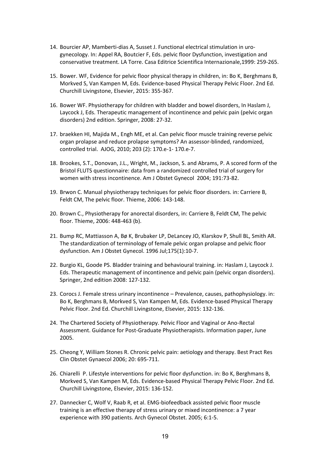- 14. Bourcier AP, Mamberti-dias A, Susset J. Functional electrical stimulation in urogynecology. In: Appel RA, Boutcier F, Eds. pelvic floor Dysfunction, investigation and conservative treatment. LA Torre. Casa Editrice Scientifica Internazionale,1999: 259-265.
- 15. Bower. WF, Evidence for pelvic floor physical therapy in children, in: Bo K, Berghmans B, Morkved S, Van Kampen M, Eds. Evidence-based Physical Therapy Pelvic Floor. 2nd Ed. Churchill Livingstone, Elsevier, 2015: 355-367.
- 16. Bower WF. Physiotherapy for children with bladder and bowel disorders, In Haslam J, Laycock J, Eds. Therapeutic management of incontinence and pelvic pain (pelvic organ disorders) 2nd edition. Springer, 2008: 27-32.
- 17. braekken HI, Majida M., Engh ME, et al. Can pelvic floor muscle training reverse pelvic organ prolapse and reduce prolapse symptoms? An assessor-blinded, randomized, controlled trial. AJOG, 2010; 203 (2): 170.e-1- 170.e-7.
- 18. Brookes, S.T., Donovan, J.L., Wright, M., Jackson, S. and Abrams, P. A scored form of the Bristol FLUTS questionnaire: data from a randomized controlled trial of surgery for women with stress incontinence. Am J Obstet Gynecol 2004; 191:73-82.
- 19. Brwon C. Manual physiotherapy techniques for pelvic floor disorders. in: Carriere B, Feldt CM, The pelvic floor. Thieme, 2006: 143-148.
- 20. Brown C., Physiotherapy for anorectal disorders, in: Carriere B, Feldt CM, The pelvic floor. Thieme, 2006: 448-463 (b).
- 21. [Bump RC,](http://www.ncbi.nlm.nih.gov/pubmed?term=Bump%20RC%5BAuthor%5D&cauthor=true&cauthor_uid=8694033) [Mattiasson A,](http://www.ncbi.nlm.nih.gov/pubmed?term=Mattiasson%20A%5BAuthor%5D&cauthor=true&cauthor_uid=8694033) [Bø K,](http://www.ncbi.nlm.nih.gov/pubmed?term=B%C3%B8%20K%5BAuthor%5D&cauthor=true&cauthor_uid=8694033) [Brubaker LP,](http://www.ncbi.nlm.nih.gov/pubmed?term=Brubaker%20LP%5BAuthor%5D&cauthor=true&cauthor_uid=8694033) [DeLancey JO,](http://www.ncbi.nlm.nih.gov/pubmed?term=DeLancey%20JO%5BAuthor%5D&cauthor=true&cauthor_uid=8694033) [Klarskov P,](http://www.ncbi.nlm.nih.gov/pubmed?term=Klarskov%20P%5BAuthor%5D&cauthor=true&cauthor_uid=8694033) [Shull BL,](http://www.ncbi.nlm.nih.gov/pubmed?term=Shull%20BL%5BAuthor%5D&cauthor=true&cauthor_uid=8694033) [Smith AR.](http://www.ncbi.nlm.nih.gov/pubmed?term=Smith%20AR%5BAuthor%5D&cauthor=true&cauthor_uid=8694033) The standardization of terminology of female pelvic organ prolapse and pelvic floor dysfunction[. Am J Obstet Gynecol.](http://www.ncbi.nlm.nih.gov/pubmed?term=Bump%20RC%2C%20Mattiasson%20A%2C%20Bo%20K%2C%20et%20al.%20The%20standardization%20of%20terminology%20of%20female%20pelvic%20organprolapse%20and%20pelvic%20%EF%AC%82%20oor%20dysfunction.%20Am%20J%20Obstet%20Gynecol.%201996%3B175%3A13) 1996 Jul;175(1):10-7.
- 22. Burgio KL, Goode PS. Bladder training and behavioural training. in: Haslam J, Laycock J. Eds. Therapeutic management of incontinence and pelvic pain (pelvic organ disorders). Springer, 2nd edition 2008: 127-132.
- 23. Corocs J. Female stress urinary incontinence Prevalence, causes, pathophysiology. in: Bo K, Berghmans B, Morkved S, Van Kampen M, Eds. Evidence-based Physical Therapy Pelvic Floor. 2nd Ed. Churchill Livingstone, Elsevier, 2015: 132-136.
- 24. The Chartered Society of Physiotherapy. Pelvic Floor and Vaginal or Ano-Rectal Assessment. Guidance for Post-Graduate Physiotherapists. Information paper, June 2005.
- 25. Cheong Y, William Stones R. Chronic pelvic pain: aetiology and therapy. Best Pract Res Clin Obstet Gynaecol 2006; 20: 695-711.
- 26. Chiarelli P. Lifestyle interventions for pelvic floor dysfunction. in: Bo K, Berghmans B, Morkved S, Van Kampen M, Eds. Evidence-based Physical Therapy Pelvic Floor. 2nd Ed. Churchill Livingstone, Elsevier, 2015: 136-152.
- 27. Dannecker C, Wolf V, Raab R, et al. EMG-biofeedback assisted pelvic floor muscle training is an effective therapy of stress urinary or mixed incontinence: a 7 year experience with 390 patients. Arch Gynecol Obstet. 2005; 6:1-5.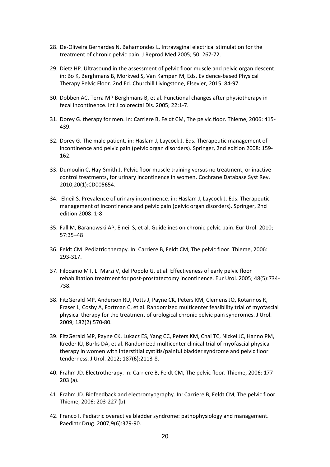- 28. De-Oliveira Bernardes N, Bahamondes L. Intravaginal electrical stimulation for the treatment of chronic pelvic pain. J Reprod Med 2005; 50: 267-72.
- 29. Dietz HP. Ultrasound in the assessment of pelvic floor muscle and pelvic organ descent. in: Bo K, Berghmans B, Morkved S, Van Kampen M, Eds. Evidence-based Physical Therapy Pelvic Floor. 2nd Ed. Churchill Livingstone, Elsevier, 2015: 84-97.
- 30. Dobben AC. Terra MP Berghmans B, et al. Functional changes after physiotherapy in fecal incontinence. Int J colorectal Dis. 2005; 22:1-7.
- 31. Dorey G. therapy for men. In: Carriere B, Feldt CM, The pelvic floor. Thieme, 2006: 415- 439.
- 32. Dorey G. The male patient. in: Haslam J, Laycock J. Eds. Therapeutic management of incontinence and pelvic pain (pelvic organ disorders). Springer, 2nd edition 2008: 159- 162.
- 33. Dumoulin C, Hay-Smith J. Pelvic floor muscle training versus no treatment, or inactive control treatments, for urinary incontinence in women. Cochrane Database Syst Rev. 2010;20(1):CD005654.
- 34. Elneil S. Prevalence of urinary incontinence. in: Haslam J, Laycock J. Eds. Therapeutic management of incontinence and pelvic pain (pelvic organ disorders). Springer, 2nd edition 2008: 1-8
- 35. Fall M, Baranowski AP, Elneil S, et al. Guidelines on chronic pelvic pain. Eur Urol. 2010; 57:35–48
- 36. Feldt CM. Pediatric therapy. In: Carriere B, Feldt CM, The pelvic floor. Thieme, 2006: 293-317.
- 37. Filocamo MT, LI Marzi V, del Popolo G, et al. Effectiveness of early pelvic floor rehabilitation treatment for post-prostatectomy incontinence. Eur Urol. 2005; 48(5):734- 738.
- 38. FitzGerald MP, Anderson RU, Potts J, Payne CK, Peters KM, Clemens JQ, Kotarinos R, Fraser L, Cosby A, Fortman C, et al. Randomized multicenter feasibility trial of myofascial physical therapy for the treatment of urological chronic pelvic pain syndromes. J Urol. 2009; 182(2):570-80.
- 39. FitzGerald MP, Payne CK, Lukacz ES, Yang CC, Peters KM, Chai TC, Nickel JC, Hanno PM, Kreder KJ, Burks DA, et al. Randomized multicenter clinical trial of myofascial physical therapy in women with interstitial cystitis/painful bladder syndrome and pelvic floor tenderness. J Urol. 2012; 187(6):2113-8.
- 40. Frahm JD. Electrotherapy. In: Carriere B, Feldt CM, The pelvic floor. Thieme, 2006: 177- 203 (a).
- 41. Frahm JD. Biofeedback and electromyography. In: Carriere B, Feldt CM, The pelvic floor. Thieme, 2006: 203-227 (b).
- 42. [Franco I.](http://www.ncbi.nlm.nih.gov/pubmed?term=%22Franco%20I%22%5BAuthor%5D) Pediatric overactive bladder syndrome: pathophysiology and management. Paediatr Drug. 2007;9(6):379-90.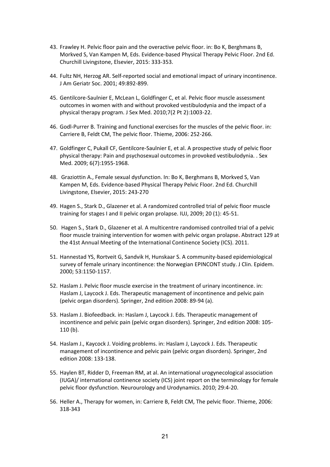- 43. Frawley H. Pelvic floor pain and the overactive pelvic floor. in: Bo K, Berghmans B, Morkved S, Van Kampen M, Eds. Evidence-based Physical Therapy Pelvic Floor. 2nd Ed. Churchill Livingstone, Elsevier, 2015: 333-353.
- 44. Fultz NH, Herzog AR. Self-reported social and emotional impact of urinary incontinence. J Am Geriatr Soc. 2001; 49:892-899.
- 45. Gentilcore-Saulnier E, McLean L, Goldfinger C, et al. Pelvic floor muscle assessment outcomes in women with and without provoked vestibulodynia and the impact of a physical therapy program. J Sex Med. 2010;7(2 Pt 2):1003-22.
- 46. Godl-Purrer B. Training and functional exercises for the muscles of the pelvic floor. in: Carriere B, Feldt CM, The pelvic floor. Thieme, 2006: 252-266.
- 47. Goldfinger C, Pukall CF, Gentilcore-Saulnier E, et al. A prospective study of pelvic floor physical therapy: Pain and psychosexual outcomes in provoked vestibulodynia. . Sex Med. 2009; 6(7):1955-1968.
- 48. Graziottin A., Female sexual dysfunction. In: Bo K, Berghmans B, Morkved S, Van Kampen M, Eds. Evidence-based Physical Therapy Pelvic Floor. 2nd Ed. Churchill Livingstone, Elsevier, 2015: 243-270
- 49. Hagen S., Stark D., Glazener et al. A randomized controlled trial of pelvic floor muscle training for stages I and II pelvic organ prolapse. IUJ, 2009; 20 (1): 45-51.
- 50. Hagen S., Stark D., Glazener et al. A multicentre randomised controlled trial of a pelvic floor muscle training intervention for women with pelvic organ prolapse**.** Abstract 129 at the 41st Annual Meeting of the International Continence Society (ICS). 2011.
- 51. Hannestad YS, Rortveit G, Sandvik H, Hunskaar S. A community-based epidemiological survey of female urinary incontinence: the Norwegian EPINCONT study. J Clin. Epidem. 2000; 53:1150-1157.
- 52. Haslam J. Pelvic floor muscle exercise in the treatment of urinary incontinence. in: Haslam J, Laycock J. Eds. Therapeutic management of incontinence and pelvic pain (pelvic organ disorders). Springer, 2nd edition 2008: 89-94 (a).
- 53. Haslam J. Biofeedback. in: Haslam J, Laycock J. Eds. Therapeutic management of incontinence and pelvic pain (pelvic organ disorders). Springer, 2nd edition 2008: 105- 110 (b).
- 54. Haslam J., Kaycock J. Voiding problems. in: Haslam J, Laycock J. Eds. Therapeutic management of incontinence and pelvic pain (pelvic organ disorders). Springer, 2nd edition 2008: 133-138.
- 55. Haylen BT, Ridder D, Freeman RM, at al. An international urogynecological association (IUGA)/ international continence society (ICS) joint report on the terminology for female pelvic floor dysfunction. Neurourology and Urodynamics. 2010; 29:4-20.
- 56. Heller A., Therapy for women, in: Carriere B, Feldt CM, The pelvic floor. Thieme, 2006: 318-343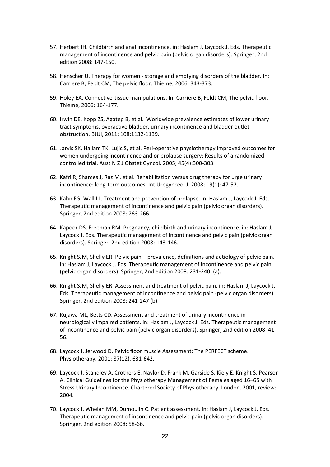- 57. Herbert JH. Childbirth and anal incontinence. in: Haslam J, Laycock J. Eds. Therapeutic management of incontinence and pelvic pain (pelvic organ disorders). Springer, 2nd edition 2008: 147-150.
- 58. Henscher U. Therapy for women storage and emptying disorders of the bladder. In: Carriere B, Feldt CM, The pelvic floor. Thieme, 2006: 343-373.
- 59. Holey EA. Connective-tissue manipulations. In: Carriere B, Feldt CM, The pelvic floor. Thieme, 2006: 164-177.
- 60. Irwin DE, Kopp ZS, Agatep B, et al. Worldwide prevalence estimates of lower urinary tract symptoms, overactive bladder, urinary incontinence and bladder outlet obstruction. BJUI, 2011; 108:1132-1139.
- 61. Jarvis SK, Hallam TK, Lujic S, et al. Peri-operative physiotherapy improved outcomes for women undergoing incontinence and or prolapse surgery: Results of a randomized controlled trial. Aust N Z J Obstet Gyncol. 2005; 45(4):300-303.
- 62. Kafri R, Shames J, Raz M, et al. Rehabilitation versus drug therapy for urge urinary incontinence: long-term outcomes. Int Urogynceol J. 2008; 19(1): 47-52.
- 63. Kahn FG, Wall LL. Treatment and prevention of prolapse. in: Haslam J, Laycock J. Eds. Therapeutic management of incontinence and pelvic pain (pelvic organ disorders). Springer, 2nd edition 2008: 263-266.
- 64. Kapoor DS, Freeman RM. Pregnancy, childbirth and urinary incontinence. in: Haslam J, Laycock J. Eds. Therapeutic management of incontinence and pelvic pain (pelvic organ disorders). Springer, 2nd edition 2008: 143-146.
- 65. Knight SJM, Shelly ER. Pelvic pain prevalence, definitions and aetiology of pelvic pain. in: Haslam J, Laycock J. Eds. Therapeutic management of incontinence and pelvic pain (pelvic organ disorders). Springer, 2nd edition 2008: 231-240. (a).
- 66. Knight SJM, Shelly ER. Assessment and treatment of pelvic pain. in: Haslam J, Laycock J. Eds. Therapeutic management of incontinence and pelvic pain (pelvic organ disorders). Springer, 2nd edition 2008: 241-247 (b).
- 67. Kujawa ML, Betts CD. Assessment and treatment of urinary incontinence in neurologically impaired patients. in: Haslam J, Laycock J. Eds. Therapeutic management of incontinence and pelvic pain (pelvic organ disorders). Springer, 2nd edition 2008: 41- 56.
- 68. Laycock J, Jerwood D. Pelvic floor muscle Assessment: The PERFECT scheme. Physiotherapy, 2001; 87(12), 631-642.
- 69. Laycock J, Standley A, Crothers E, Naylor D, Frank M, Garside S, Kiely E, Knight S, Pearson A. Clinical Guidelines for the Physiotherapy Management of Females aged 16–65 with Stress Urinary Incontinence. Chartered Society of Physiotherapy, London. 2001, review: 2004.
- 70. Laycock J, Whelan MM, Dumoulin C. Patient assessment. in: Haslam J, Laycock J. Eds. Therapeutic management of incontinence and pelvic pain (pelvic organ disorders). Springer, 2nd edition 2008: 58-66.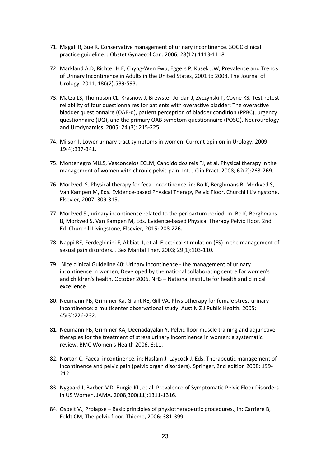- 71. Magali R, Sue R. Conservative management of urinary incontinence. SOGC clinical practice guideline. J Obstet Gynaecol Can. 2006; 28(12):1113-1118.
- 72. Markland A.D, Richter H.E, Chyng-Wen Fwu, Eggers P, Kusek J.W, Prevalence and Trends of Urinary Incontinence in Adults in the United States, 2001 to 2008. The Journal of Urology. 2011; 186(2):589-593.
- 73. Matza LS, Thompson CL, Krasnow J, Brewster-Jordan J, Zyczynski T, Coyne KS. Test-retest reliability of four questionnaires for patients with overactive bladder: The overactive bladder questionnaire (OAB-q), patient perception of bladder condition (PPBC), urgency questionnaire (UQ), and the primary OAB symptom questionnaire (POSQ). Neurourology and Urodynamics. 2005; 24 (3): 215-225.
- 74. Milson I. Lower urinary tract symptoms in women. Current opinion in Urology. 2009; 19(4):337-341.
- 75. Montenegro MLLS, Vasconcelos ECLM, Candido dos reis FJ, et al. Physical therapy in the management of women with chronic pelvic pain. Int. J Clin Pract. 2008; 62(2):263-269.
- 76. Morkved S. Physical therapy for fecal incontinence, in: Bo K, Berghmans B, Morkved S, Van Kampen M, Eds. Evidence-based Physical Therapy Pelvic Floor. Churchill Livingstone, Elsevier, 2007: 309-315.
- 77. Morkved S., urinary incontinence related to the peripartum period. In: Bo K, Berghmans B, Morkved S, Van Kampen M, Eds. Evidence-based Physical Therapy Pelvic Floor. 2nd Ed. Churchill Livingstone, Elsevier, 2015: 208-226.
- 78. Nappi RE, Ferdeghinini F, Abbiati I, et al. Electrical stimulation (ES) in the management of sexual pain disorders. J Sex Marital Ther. 2003; 29(1):103-110.
- 79. Nice clinical Guideline 40: Urinary incontinence the management of urinary incontinence in women, Developed by the national collaborating centre for women's and children's health. October 2006. NHS – National institute for health and clinical excellence
- 80. Neumann PB, Grimmer Ka, Grant RE, Gill VA. Physiotherapy for female stress urinary incontinence: a multicenter observational study. Aust N Z J Public Health. 2005; 45(3):226-232.
- 81. Neumann PB, Grimmer KA, Deenadayalan Y. Pelvic floor muscle training and adjunctive therapies for the treatment of stress urinary incontinence in women: a systematic review. BMC Women's Health 2006, 6:11.
- 82. Norton C. Faecal incontinence. in: Haslam J, Laycock J. Eds. Therapeutic management of incontinence and pelvic pain (pelvic organ disorders). Springer, 2nd edition 2008: 199- 212.
- 83. Nygaard I, Barber MD, Burgio KL, et al. Prevalence of Symptomatic Pelvic Floor Disorders in US Women. JAMA. 2008;300(11):1311-1316.
- 84. Ospelt V., Prolapse Basic principles of physiotherapeutic procedures., in: Carriere B, Feldt CM, The pelvic floor. Thieme, 2006: 381-399.